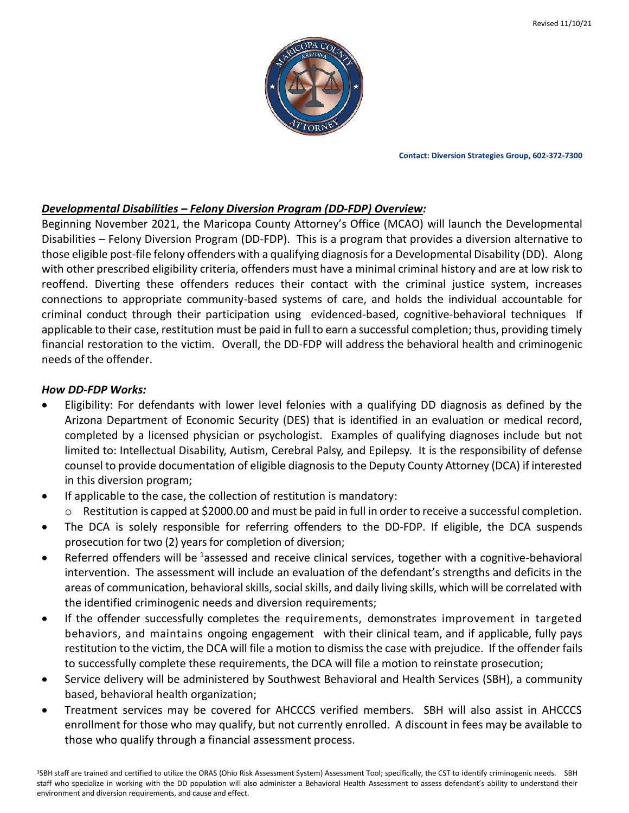

**Contact: Diversion Strategies Group, 602-372-7300**

## *Developmental Disabilities – Felony Diversion Program (DD-FDP) Overview:*

Beginning November 2021, the Maricopa County Attorney's Office (MCAO) will launch the Developmental Disabilities – Felony Diversion Program (DD-FDP). This is a program that provides a diversion alternative to those eligible post-file felony offenders with a qualifying diagnosis for a Developmental Disability (DD). Along with other prescribed eligibility criteria, offenders must have a minimal criminal history and are at low risk to reoffend. Diverting these offenders reduces their contact with the criminal justice system, increases connections to appropriate community-based systems of care, and holds the individual accountable for criminal conduct through their participation using evidenced-based, cognitive-behavioral techniques If applicable to their case, restitution must be paid in full to earn a successful completion; thus, providing timely financial restoration to the victim. Overall, the DD-FDP will address the behavioral health and criminogenic needs of the offender.

## *How DD-FDP Works:*

- Eligibility: For defendants with lower level felonies with a qualifying DD diagnosis as defined by the Arizona Department of Economic Security (DES) that is identified in an evaluation or medical record, completed by a licensed physician or psychologist. Examples of qualifying diagnoses include but not limited to: Intellectual Disability, Autism, Cerebral Palsy, and Epilepsy. It is the responsibility of defense counsel to provide documentation of eligible diagnosis to the Deputy County Attorney (DCA) if interested in this diversion program;
- If applicable to the case, the collection of restitution is mandatory:
	- $\circ$  Restitution is capped at \$2000.00 and must be paid in full in order to receive a successful completion.
- The DCA is solely responsible for referring offenders to the DD-FDP. If eligible, the DCA suspends prosecution for two (2) years for completion of diversion;
- Referred offenders will be <sup>1</sup>assessed and receive clinical services, together with a cognitive-behavioral intervention. The assessment will include an evaluation of the defendant's strengths and deficits in the areas of communication, behavioral skills, social skills, and daily living skills, which will be correlated with the identified criminogenic needs and diversion requirements;
- If the offender successfully completes the requirements, demonstrates improvement in targeted behaviors, and maintains ongoing engagement with their clinical team, and if applicable, fully pays restitution to the victim, the DCA will file a motion to dismissthe case with prejudice. If the offender fails to successfully complete these requirements, the DCA will file a motion to reinstate prosecution;
- Service delivery will be administered by Southwest Behavioral and Health Services (SBH), a community based, behavioral health organization;
- Treatment services may be covered for AHCCCS verified members. SBH will also assist in AHCCCS enrollment for those who may qualify, but not currently enrolled. A discount in fees may be available to those who qualify through a financial assessment process.